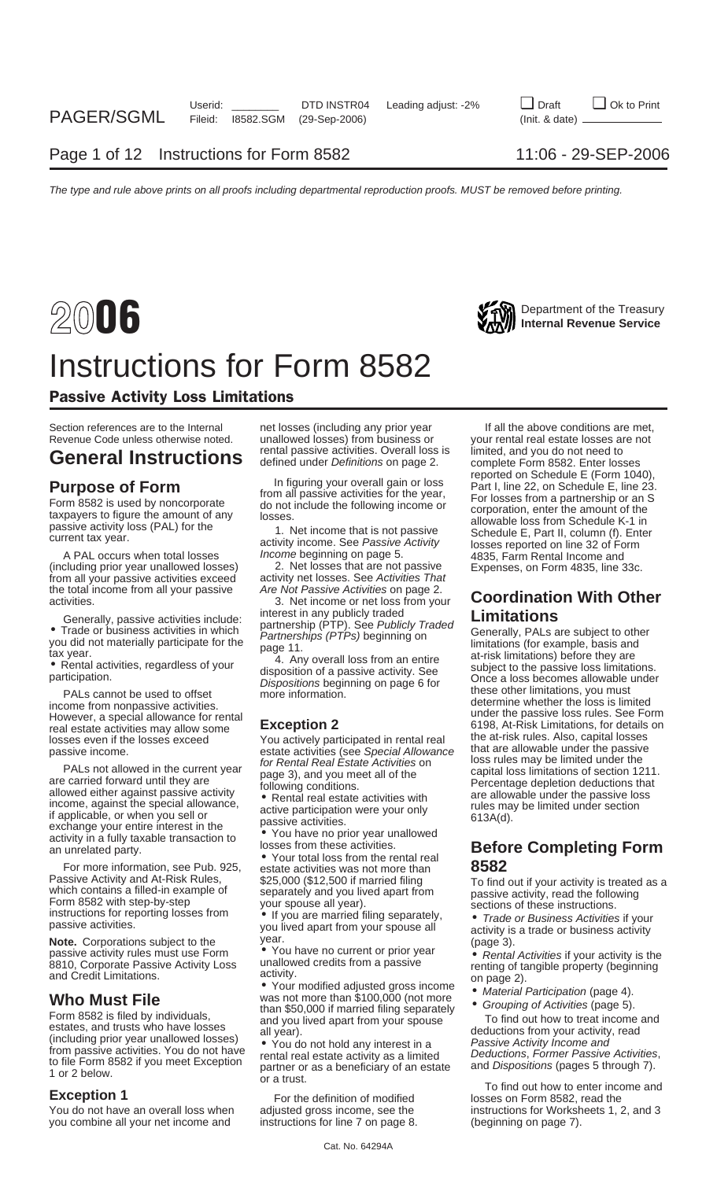## Department of the Treasury **2006 Internal Revenue Service** Instructions for Form 8582

### Passive Activity Loss Limitations

### rental passive activities. Overall loss is limited, and you do not need to **General Instructions** defined under Definitions on page 2. complete Form 8582. Enter losses

(including prior year unallowed losses) from all your passive activities exceed the total income from all your passive Are Not Passive Activities on page 2.

real estate activities may allow some **EXCEPTION Z** 6198, At-Risk Limitations, for details<br>Iosses even if the losses exceed and actively participated in rental real the at-risk rules. Also, capital losses

For more information, see Pub. 925, estate activities was not more than **Passive Activity and At-Risk Rules**, \$25,000 (\$12,500 if married filing **Passive Activity and At-Risk Rules, \$25,000 (\$12,500\$ if married filing which contains a filled-in example of your space all year). \nFor m 8582 with step-by-step your space all year. \nIn structures, for reporting losses from a positive activity, read the following sections of these instructions. \nIn the following section, we have a particular solution to the following solution. \nIn the following section, we have a particular solution to the following solution. \nIn the following section, we have a particular solution to the following solution. \nIn the following section, we have a particular solution to the following solution. \nIn the following section, we have a particular solution to the following solution. \nIn the following section, we have a particular solution to the following solution. \nIn the** 

The structure of the states and the states of the states and the states and the states and the states and the states and the states and the states and the states and the states and the states and the states and the states

you combine all your net income and

Section references are to the Internal extit of losses (including any prior year The all the above conditions are met,<br>Revenue Code unless otherwise noted. The unallowed losses) from business or The your rental real estate unallowed losses) from business or your rental real estate losses arental passive activities. Overall loss is limited, and you do not need to

activity net losses. See Activities That

**Purpose of Form**<br>
Form 8582 is used by noncorporate the amount of any the seat of the year.<br>
The strep of the seat of the seat of the seat of the seat of the seat of the seat of the seat of the seat of the seat of the sea activity income. See Passive Activity<br>A PAL occurs when total losses *Income* beginning on page 5. 4835, Farm Rental Income and<br>Cluding prior year unallowed losses) 2. Net losses that are not passive Expenses, on Form 4835

### activities.<br>activities. 3. Net income or net loss from your **Coordination With Other**<br>Concrelly possive ortivities include: interest in any publicly traded **Imitations**

Generally, passive activities include:<br>
• Trade or business activities in which<br>
you did not materially participate for the<br>
tax year.<br>
• Rental activities, regardless of your<br>
participation of a passive activity. See<br>
Pa income from nonpassive activities.<br>
However, a special allowance for rental **Exception 2** and the passive loss rules. See Form<br>
real estate activities may allow some **Exception 2** 6198, At-Risk Limitations, for details on Factorizate activities (see Special Allowance<br>
losses even if the losses exceed<br>
passive income.<br>
PALs not allowed in the current year<br>
PALs not allowed in the current year<br>
PALs not allowed in the current year<br>
PALs not a

## activity in a fully taxable transaction to<br>an unrelated party.<br>For more information, see Pub. 925. estate activities was not more than **1994.**<br>For more information, see Pub. 925. estate activities was not more than **1994.**

passive activities.<br> **Note.** Corporations subject to the year.<br>
passive activity rules must use Form • You have no current or prior year **a** Bental Activities if your activity is the

- -

To find out how to enter income and<br>**Exception 1** For the definition of modified losses on Form 8582, read the You do not have an overall loss when adjusted gross income, see the instructions for Worksheets 1, 2, and 3 you combine all your net income and instructions for line 7 on page 8.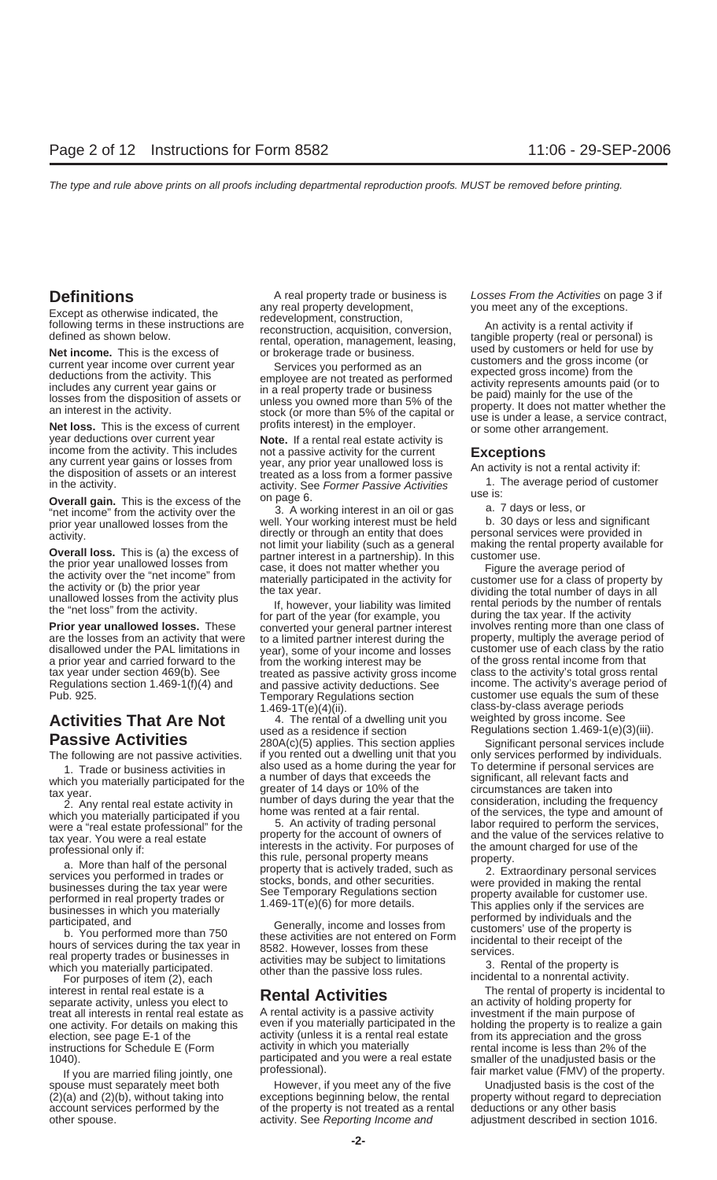which you materially participated if you home was rented at a fair rental. of the services, the type and amount of were a "real estate professional" for the services, the type and amount of were a "real estate professional were a "real estate professional" for the 5. An activity of trading personal labor required to perform the services,<br>tax year, You were a real estate 5. An activity for the account of owners of 5. And the value of the serv

For purposes of item (2), each<br>interest in rental real estate is a<br>separate activity, unless you elect to<br>treat all interests in rental real estate as<br>A rental activity is a passive activity<br>of holding property for<br>investm treat all interests in rental real estate as A rental activity is a passive activity investment if the main purpose of one activity. For details on making this even if you materially participated in the holding the property is to realize a gain election, see page E-1 of the activity (unless it is a rental real estate from its appreciation and the gross<br>instructions for Schedule F (Form activity in which you materially rental income is less than 2% of the instructions for Schedule E (Form activity in which you materially rental income is less than 2% of the<br>1040).<br>The participated and you were a real estate smaller of the unadiusted basis or the

**Definitions**<br>A real property trade or business is Losses From the Activities on page 3 if<br>you meet any of the exceptions.

Overall loss. This is (a) the excess of the directly or through an entity of the directly or the directly or through an entity that does and significant directly or through an entity that does are provided in the activity.

Frior year unallowed losses. These converted your general partner interest involves renting more than one class of<br>**Prior year unallowed losses.** These converted your general partner interest involves renting more than one are the losses from an activity that were to a limited partner interest during the property, multiply the average period of disallowed under the PAL limitations in year), some of your income and losses customer use of each a prior year and carried forward to the from the working interest may be for the gross rental income from that<br>tax year under section 469(b). See the activity gross income class to the activity's total gross rental<br>Regulat Temporary Regulations section customer use equals the sum of these  $1.469-1T(e)(4)(ii)$ .

**Activities That Are Not** 4. The rental of a dwelling unit you used as a residence if section **Passive Activities** 280A(c)(5) applies. This section applies Significant personal services include The following are not passive activities. if you rented out a dwelling unit that you only services performed by individuals.<br>1. Trode or business activities in also used as a home during the year for To determine if person 1. Trade or business activities in also used as a home during the year for To determine if personal services are<br>1. Trade or business activities in a number of days that exceeds the significant, all relevant facts and which you materially participated for the a number of days that exceeds the significant, all relevant facts and<br>greater of 14 days or 10% of the circumstances are taken into greater of 14 days or 10% of the circumstances are taken into<br>2. Any rental real estate activity in number of days during the year that the consideration, including the frequency<br>2. Any rental real estate activity in home

spouse must separately meet both However, if you meet any of the five<br>(2)(a) and (2)(b), without taking into exceptions beginning below, the rental exceptions beginning below, the rental property without regard to depreciation account services performed by the of the property is not treated as a rental deductions or any other basis other spouse. **activity.** See Reporting Income and adjustment described in section 1016.

Except as otherwise indicated, the any real property development, you meet any of the exceptions.<br>
Except as otherwise instructions are elevelopment, construction, acquisition, conversion, and activity is a rental activit

the prior year unallowed losses from<br>
the activity over the "net income" from<br>
the activity or (b) the prior year<br>
unallowed losses from the activity plus<br>
the "net loss" from the activity.<br>
If, however, your liability was class-by-class average periods<br>weighted by gross income. See Regulations section 1.469-1(e)(3)(iii).

which were a real estate<br>tax year. You were a real estate<br>of the account of owners of the annum charged for use of the<br>professional only if:<br>a. More than half of the personal<br>tis rule, personal property means<br>a. More than

1040).<br>If you are married filing jointly, one professional). The professional is the property.<br>Spouse must separately meet both However, if you meet any of the five Unadjusted basis is the cost of the mar<br>Unadjusted basis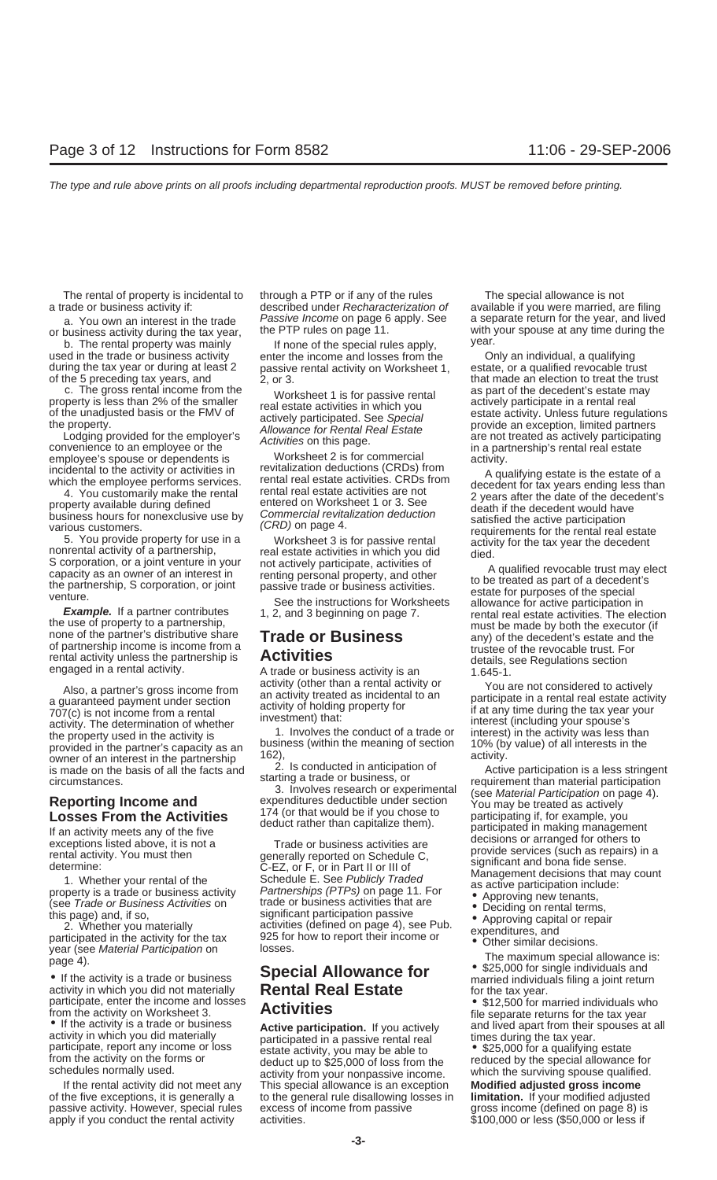a trade or business activity if: described under Recharacterization of available if you were married, are filing

b. The rental property was mainly and the special rules apply, wear.<br>If none of the special rules apply, the Mongan individual, a qualifying used in the trade or business activity<br>Income and losses from the Only an individ during the tax year or during at least 2 passive rental activity on Worksheet 1, of the 5 preceding tax years, and  $\begin{array}{r} 2.0r3. \end{array}$ 

c. The gross rental income from the vorksheet 1 is for passive rental as part of the decedent's estate may<br>property is less than 2% of the smaller real estate activities in which you actively participate in a rental real

convenience to an employee or the<br>
employee's spouse or dependents is Worksheet 2 is for commercial activity.<br>
in a partnership's rental real estate<br>
incidental to the activity or activities in revitalization deductions (C

rental activity unless the partnership is **Activities** details, see Regulations section engaged in a rental activity.<br>A trade or business activity is an 1.645-1.

year (see Material Participation on losses.<br>
page 4).<br> **Special Allowance for**  $\bullet$  \$25,000 for single individuals and

From the activity on Worksheet 3.<br>
• If the activity is a trade or business<br>
active participation. If you actively<br>
activity in which you did materially<br>
participated in a passive rental real<br>
from the is expected and live

of the five exceptions, it is generally a to the general rule disallowing losses in **limitation.** If your modified adjusted passive activity. However, special rules excess of income from passive apply if you conduct the rental activity activities.  $$100,000$  or less (\$50,000 or less if

The rental of property is incidental to through a PTP or if any of the rules The special allowance is not

# Page 4).<br>
• If the activity is a trade or business<br>
activity in which you did not materially<br>
participate, enter the income and losses<br> **Activition**<br> **Activition**<br> **Activition**<br> **Activition**<br> **Activition**<br> **Activition**<br> **A**

If the rental activity did not meet any This special allowance is an exception **Modified adjusted gross income**

a. You own an interest in the trade Passive Income on page 6 apply. See a separate return for the year, and lived<br>business activity during the tax year the PTP rules on page 11. or business activity during the tax year, the PTP rules on page 11. with your spouse at any time during the tax year, the PTP rules on page 11.

2, or 3. that made an election to treat the trust property is less than 2% of the smaller real estate activities in which you<br>of the unadjusted basis or the FMV of<br>the property.<br>Lodging provided for the employer's and actively participated. See Special<br>convenience to an e

incidental to the activity or activities in<br>
which the employee performs services. In that real estate activities are of a<br>
which the employee performs services. In that real estate activities CRDs from<br>
4 qualifying estat

Example. If a partner contributes 1, 2, and 3 beginning on page 7.<br>
the use of property to a partnership,<br>
none of the partner's distributive share<br>
of partner's distributive share<br>
of partnership income is income from a<br>

Also, a partner's gross income from<br>
an activity (of the than a rental activity or  $\gamma$  ou are not considered to active)<br>
and activity of holding property for<br>
an activity of holding property for<br>
an activity of holding p

- 
- 
- 
- 
-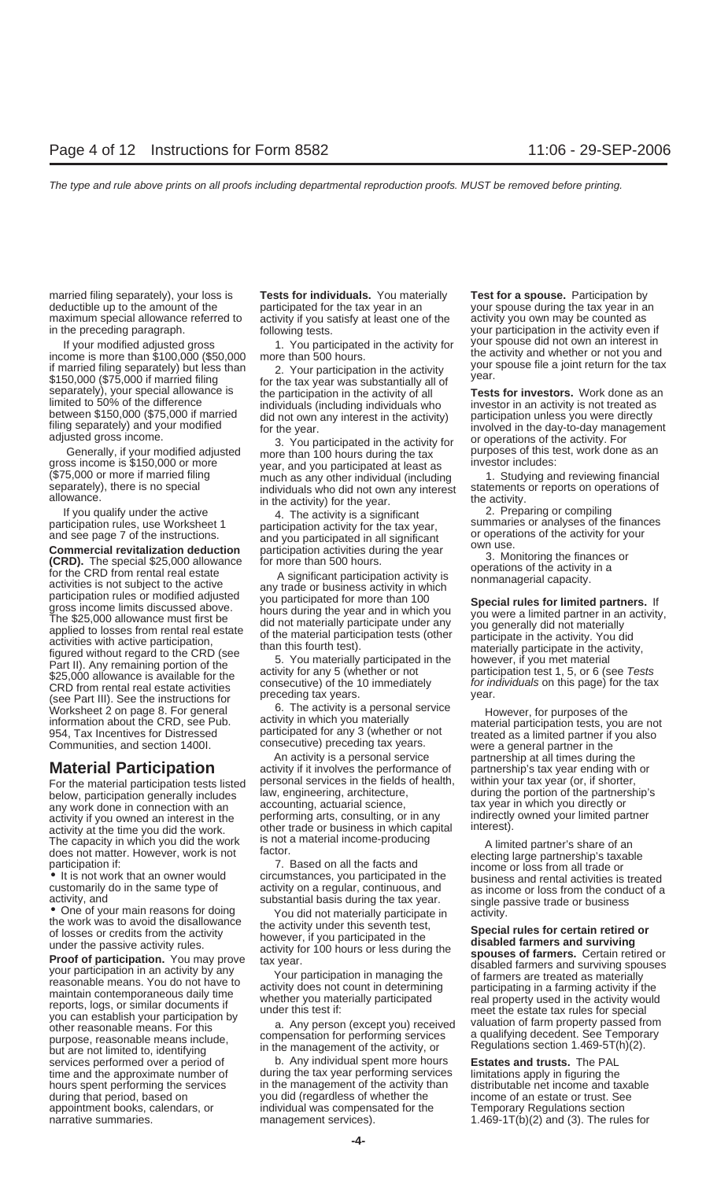married filing separately), your loss is **Tests for individuals.** You materially **Test for a spouse.** Participation by deductible up to the amount of the yearticipated for the tax year in an your spouse during the tax year in an<br>maximum special allowance referred to activity if you satisfy at least one of the activity you own may be counte maximum special allowance referred to activity if you satisfy at least one of the activity you own may be counted as in the preceding paragraph.<br>
in the preceding paragraph. The school of the school of the school of the ac

in the preceding paragraph.<br>
If your modified adjusted gross and the set of the activity over participation in the activity even if<br>
If your modified adjusted gross the set of the activity for the activity and whether or n

If you quality under the active<br>and see page 7 of the instructions.<br>and see page 7 of the instructions.<br>and you participation calcuity for the tax year,<br>and you participation deduction<br>and you participation activities dur Worksheet 2 on page 8. For general and the CRD, see Pub. The activity is a personal service information about the CRD, see Pub. activity in which you materially material participation tests, you are not goal of the activit

services performed over a period of b. Any individual spent more hours **Estates and trusts.** The PAL appointment books, calendars, or Temporary Regulations individual was compensated for the

gross income is \$150,000 or more<br>
(\$75,000 or more if married filing much as any other individual (including 1. Studying and reviewing financial<br>
separately), there is no special individuals who did not own any interest st

An activity is a personal service partnership at all times during the activity if it involves the performance of partnership's tax year ending with **Material Participation** activity if it involves the performance of partnership's tax year ending with or For the material participation tests listed personal services in the fields of health, within your tax year (or, if For the material participation tests listed personal services in the fields of health, within your tax year (or, if shorter,<br>below participation generally includes law, engineering, architecture, during the portion of the below, participation generally includes law, engineering, architecture, during the portion of the partnership's<br>any work done in connection with an accounting, actuarial science, any work done in connection with an account

time and the approximate number of during the tax year performing services limitations apply in figuring the hours spent performing the services in the management of the activity than distributable net income and taxable during that period. based on vou did (regardless of whether the income of an estate or trust. See during that period, based on income of an estate or trust. See income of an estate or trust. See appointment books, calendars, or individual was compensated for the Temporary Regulations section narrative summaries. The rules for management services). The rules for and (3). The rules for

limited to 50% of the difference<br>between \$150,000 (\$75,000 if married individuals (including individuals who<br>filing separately) and your modified did not own any interest in the activity) for the year.<br>adjusted gross incom

The capacity in which you did the work is not a material income-producing does not matter. However, work is not a material income-producing and a limited partner's share of an electing large partnership's taxable participa • It is not work that an owner would<br>customarily do in the same type of activity on a regular, continuous, and as income or loss from the conduct of a<br>activity, and activity, and substantial basis during the tax year. Sing

activity, and<br>
the work was to avoid the disallowance<br>
the work was to avoid the disallowance<br>
the work was to avoid the disallowance<br>
of losses or credits from the activity<br>
of losses or credits from the activity<br>
of loss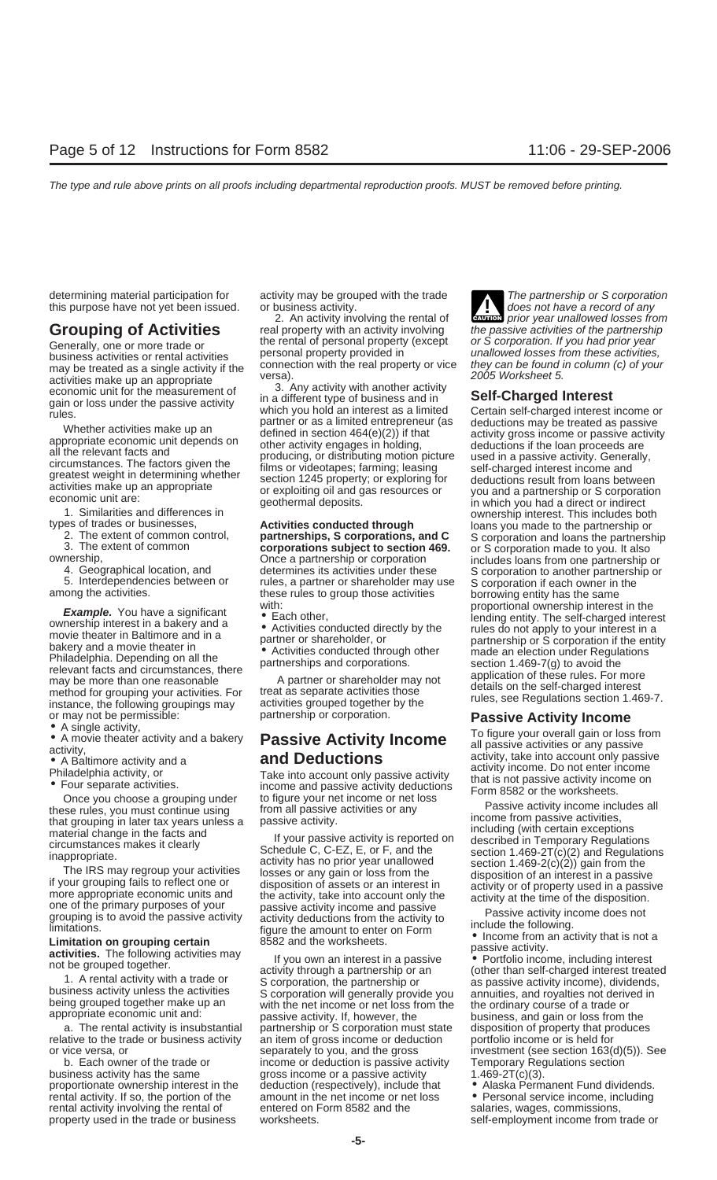- 
- 

- 
- 
- 
- 

relative to the trade or business activity an item of gross income or deduction portfolio income or is held for

rental activity involving the rental of

**Grouping of Activities** real property with an activity involving the passive activities of the partnership the rental of personal property (except or S corporation. If you had prior year Generally, one or more trade or the rental of personal property (except or S corporation. If you had prior year<br>business activities or rental activities personal property provided in unallowed losses from these activities, may be treated as a single activity if the connection with the real property or vice they can be found in connection with the real property or vice they can be found in connection.

material change in the facts and<br>incuting (with certain exceptions<br>inappropriate. Schedule C, C-EZ, E, or F, and the<br>incurstances makes it clearly<br>incurstances makes it clearly<br>incurstances makes it clearly<br>incurstance in

a. The rental activity is insubstantial partnership or S corporation must state disposition of property that produces b. Each owner of the trade or income or deduction is passive activity Temporary Regulations section business activity has the same gross income or a passive activity  $1.469 - 2T(c)(3)$ . proportionate ownership interest in the deduction (respectively), include that • Alaska Permanent Fund dividends.<br>
rental activity. If so, the portion of the amount in the net income or net loss • Personal service income, amount in the net income or net loss • Personal service income, including<br>entered on Form 8582 and the salaries, wages, commissions, property used in the trade or business worksheets. Self-employment income from trade or

determining material participation for activity may be grouped with the trade The partnership or S corporation this purpose have not yet been issued. or business activity.<br>2. An activity involving the rental of **an axymen** prior year unallowed losses from Find participants and the rental of the participants of the period of any does not have a record of any 2. An activity involving the rental of **CAUTION** prior year unallowed losses from

activities make up an appropriate<br>
economic unit for the measurement of 3. Any activity with another activity<br>
economic unit for the measurement of 3. Any activity with another activity<br>
when the conomic unit of the measur

or may not be permissible:<br>
• A single activity,<br>
• A movie theater activity and a bakery<br>
• A movie theater activity and a bakery<br> **EXECUTE ACTIVITY INCOME**<br>
• A movie theater activity and a bakery<br> **EXECUTE ACTIVITY INC** 

or vice versa, or separately to you, and the gross investment (see section 163(d)(5)). See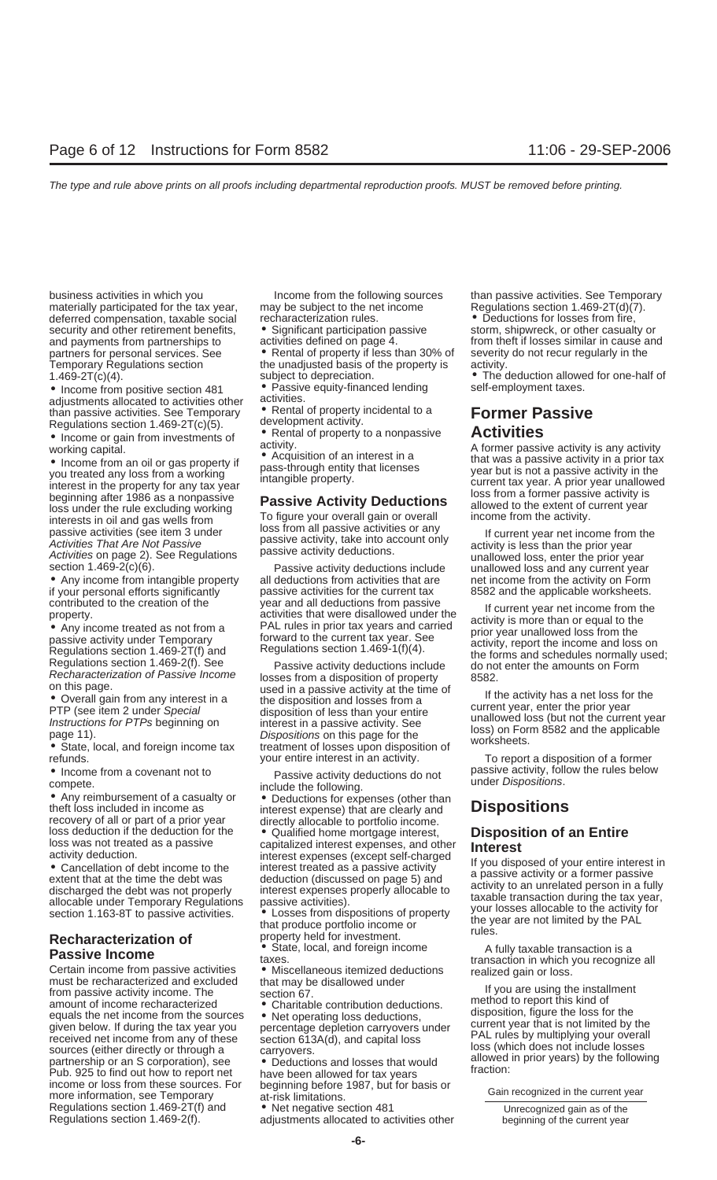business activities in which you Income from the following sources than passive activities. See Temporary materially participated for the tax year, may be subject to the net income Regulations section 1.469-2T(d)(7). deferred compensation, taxable social recharacterization rules. <br>security and other retirement benefits, <br>or Significant participation passive storm, shipwreck, or other casualty or security and other retirement benefits,  $\bullet$  Significant participation passed and payments from partnerships to activities defined on page 4. Temporary Regulations section the unadjusted basis of the property is  $1.469-2T(c)(4)$ .

• Income from positive section 481 • Passive equity-financed lending self-employment taxes.<br>adjustments allocated to activities other activities. adjustments allocated to activities other activities.<br>than passive activities See Temporary • Rental of property incidental to a than passive activities. See Temporary • Rental of property incidental to a **Former Passive**

• Hocome from an oil or gas property if<br>
working capital.<br>
working capital.<br>
working capital.<br>
working capital.<br>
working capital.<br>
working capital.<br>
working capital.<br>
working capital.<br>
working capital.<br>
working capital.<br>

**Passive Income from passive activities**<br>
Certain income from passive activities<br>
Certain income from passive activities<br>
must be recharacterized and excluded that may be disallowed under<br>
must be recharacterized and exclu Pub. 925 to find out how to report net<br>income or loss from these sources. For beginning before 1987, but for basis or<br>more information, see Temporary at-risk limitations. Regulations section 1.469-2T(f) and • Net negative section 481 Unrecognized gain as of the Regulations section 1.469-2(f).<br>Regulations section 1.469-2(f). a adjustments allocated to activities other beginning of the curren

partners for personal services. See • Rental of property if less than 30% of severity do not recur regularly in the Temporary Requilarly in the unadjusted basis of the property is activity. 1.469-2T(c)(4). subject to depreciation. • The deduction allowed for one-half of

Regulations section 1.469-2T(c)(5).  $\qquad \qquad \text{A}}$  development activity.<br>• Income or gain from investments of  $\qquad \qquad \text{Rental of property to a nonpassive}$ regulations section 1.405.21(0)(0).<br>• Income or gain from investments of exercicity.<br>working capital activity activity.<br>A former passive activity is any activity

vection 1.469-2(c)(6). Passive activity deductions include unallowed loss and any current year<br>
■ Any income from intangible property all deductions from activities that are net income from the activity on Form<br>
if your p

Regulations section 1.469-2(1). See Fassive activity deductions include do not enter the amounts on Form<br>Recharacterization of Passive Income losses from a disposition of property 8582.<br>on this page. on this page.<br>
■ **Overall gain from any interest in a**<br>
■ **Overall gain from any interest in a**<br> **EXECUTE:** THE CREATE THE MEXIMUM OF THE MEXIMUM OF THE MEXIMUM OF THE MEXIMUM OF THE MEXIMUM OF THE MEXIMUM OF THE MEXIMUM

• Income from a covenant not to<br>
• The method of the following the districtions of the relations of a casualty or<br>
• Deductions for expenses (other than<br>
the fi loss included in income as<br>
the covery of all or part of a pr

and payments from partnerships to activities defined on page 4. from theft if losses similar in cause and

8582 and the applicable worksheets.

contributed to the creation of the vear and all deductions from passive<br>
• Any income treated as not from a<br>
• Any income treated as not from a<br>
passive activity under Temporary<br>
Regulations section 1.469-2T(f) and<br>
Regul

• State, local, and foreign income tax treatment of losses upon disposition of with the interest.<br>
your entire interest in an activity. To report a disposition of a former<br>
• Income from a covenant not to **Desgive a critic**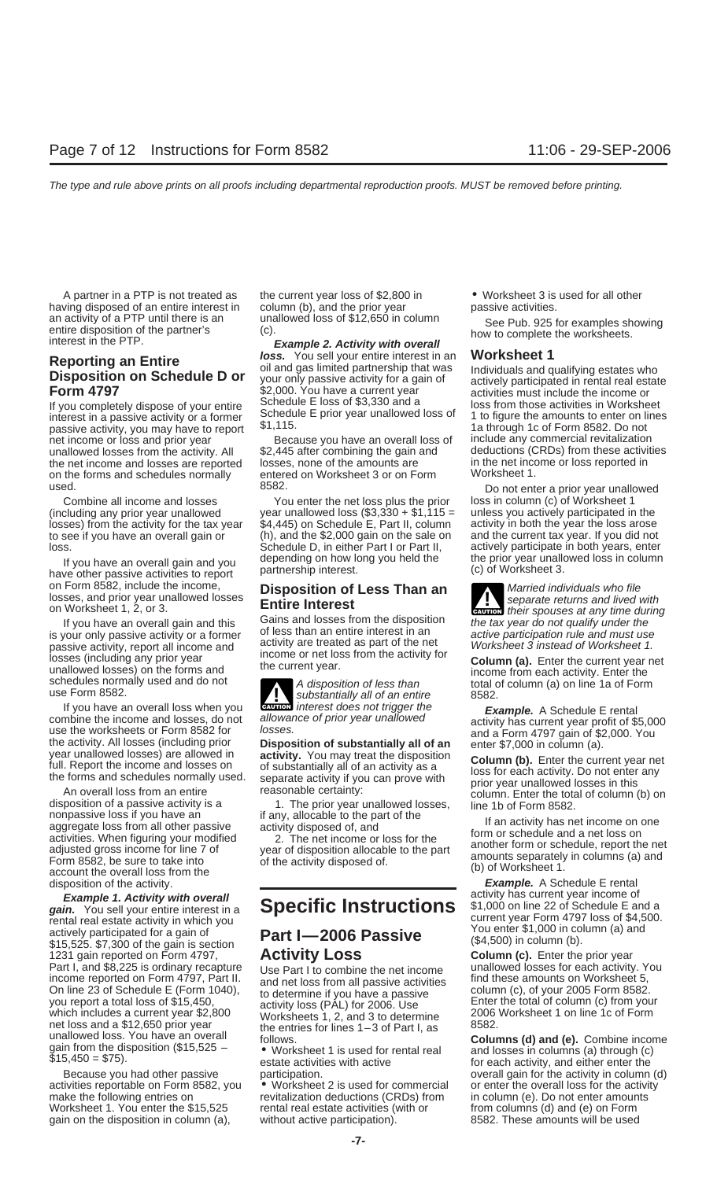having disposed of an entire interest in column (b), and the prior year passive activities.<br>an activity of a PTP until there is an unallowed loss of \$12,650 in column an activity of a PTP until there is an unallowed loss of \$12,650 in column See Pub. 925 for examples showing<br>entire disposition of the partner's (c).<br>interest in the PTP. **Example 2. Activity with overall** bow to complete

in you completely dispose or your change. Schedule E prior year unallowed loss of 1 to figure the amounts to enter on line passive activity or a former  $$1,115$ .<br>https://www.ray.html 1a through 1c of Form 8582. Do not passive activity, you may have to report net income or loss and prior year **Because you have an overall loss of** include any commercial revitalization<br>
unallowed losses from the activity All \$2.445 after combining the gain and deductions (CRDs) from these activit unallowed losses from the activity. All \$2,445 after combining the gain and deductions (CRDs) from these activi<br>the net income and losses are reported losses, none of the amounts are in the net income or loss reported in the net income and losses are reported on the forms and schedules normally entered on Worksheet 3 or on Form Worksheet 1. used. The same of the state of the state of 8582. As a state of the state of the Do not enter a prior year unallowed

If you have an overall gain and you depending on how long you held the the prior year unallowed thave other passive activities to report partnership interest. on Form 8582, include the income,<br>losses, and prior year unallowed losses<br>**Entire Interast**<br>**Entire Interast** 

is your only passive activity or a former of less than an entire interest in an active participation rule and must use<br>nassive activity report all income and activity are treated as part of the net Worksheet 3 instead of W passive activity, report all income and activity are treated as part of the net Worksheet 3 instead of Worksheet 1.<br>Insses (including any prior year income or net loss from the activity for a summ (s). Enter the summatures besses (including any prior year<br>unallowed losses) on the forms and<br>schedules normally used and do not<br>use Form 8582.<br>We substantially all of an entire the set of column (a) on line 1a of Form

combine the income and losses, do not allowance of prior year unallowed<br>
use the worksheets or Form 8582 for<br>
the activity. All losses (including prior<br>
year unallowed losses) are allowed in<br>
year unallowed losses) are all

nonpassive loss if you have an if any, allocable to the part of the aggregate loss from all other passive activity disposed of, and activities. When figuring your modified and a net loss on all other passive activity dispo

**Example 1. Activity with overall gain.** You sell your entire interest in a<br> **Specific Instructions**  $\begin{array}{r} \text{activity} \\ \text{within which you} \\ \text{arctively participated for a gain of \\ \text{gain 5,525. $7,300 of the gain is section} \end{array}$  **Specific Instructions**  $\begin{array}{r} \text{activity} \\ \text{St, 000 on line 22 of Schedule E and$ \$15,525. \$7,300 of the gain is section<br>1231 gain reported on Form 4797, **Activity Loss Column (c).** Enter the prior year<br>Part I, and \$8,225 is ordinary recapture Use Part I to combine the net income unallowed losses for Part I, and \$8,225 is ordinary recapture Use Part I to combine the net income unallowed losses for each activity. Y<br>income reported on Form 4797, Part II. and net loss from all passive activities find these amounts on Work income reported on Form 4797, Part II. and net loss from all passive activities find these amounts on Worksheet 5,<br>On line 23 of Schedule E (Form 1040), to determine if you have a passive column (c), of your 2005 Form 8582 net loss and a \$12,650 prior year<br>
unallowed loss. You have an overall<br>
gain from the disposition (\$15,525 – worksheet 1 is used for rental real **Columns (d) and (e).** Combine income<br>
\$15,450 = \$75).<br>
Salte activities with

activities reportable on Form 8582, you • Worksheet 2 is used for commercial or enter the overall loss for the activity<br>make the following entries on revitalization deductions (CRDs) from in column (e). Do not enter amount Worksheet 1. You enter the  $$15,525$  rental real estate activities (with or gain on the disposition in column (a), without active participation). 8582. These amounts will be used

A partner in a PTP is not treated as the current year loss of \$2,800 in • Worksheet 3 is used for all other

**Reporting an Entire**<br> **Reporting an Entire dule D or**<br> **Disposition on Schedule D or**<br> **Eorm 4797**<br> **Eorm 4797**<br> **Eorm 4797**<br> **Eorm 4797**<br> **Eorm 4797**<br> **Eorm 4797**<br> **Eorm 4797**<br> **Eorm 4797** SCHED TORE STRIP AND TIME Activities must include the income or<br>If you completely dispose of your entire<br>Interest in a passive activity or a former Schedule E prior year unallowed loss of the figure the amounts to enter on

Combine all income and losses You enter the net loss plus the prior loss in column (c) of Worksheet 1<br>year unallowed loss (\$3,330 + \$1,115 = unless you actively participated in year unallowed loss (\$3,330 + \$1,115 = unless losses) from the activity for the tax year \$4,445) on Schedule E, Part II, column activity in both the year the loss arose<br>to see if you have an overall gain or (h), and the \$2,000 gain on the sale on and the current tax y to see if you have an overall gain or (h), and the \$2,000 gain on the sale on and the current tax year. If you did not<br>Schedule D, in either Part I or Part II, actively participate in both years, enter loss.<br>Schedule D, in either Part I or Part II, actively participate in both years, enter<br>If you have an averall gain and you depending on how long you held the the prior year unallowed loss in column

If you have an overall gain and this Gains and losses from the disposition the tax year do not qualify under the vour only passive activity or a former of less than an entire interest in an exity experimention rule and mus

If you have an overall loss when you **CAUTION** interest does not trigger the

revitalization deductions (CRDs) from in column (e). Do not enter amoun<br>rental real estate activities (with or from columns (d) and (e) on Form

unless you actively participated in the activity in both the year the loss arose

losses, and prior year unallowed losses<br> **Entire Interest** on Worksheet 1, 2, or 3. **CAUTION** their spouses at any time during

**Example.** A Schedule E rental<br>activity has current year profit of \$5,000

disposition of the activity.<br>**Example.** A Schedule E rental<br>**Example.** A Schedule E rental<br>**Example.** A Schedule E rental<br>**Example.** A Schedule E rental

estate activities with active the for each activity, and either enter the exercise the control of the activity in column (d)<br>Because you had other passive participation. The activity in column (d)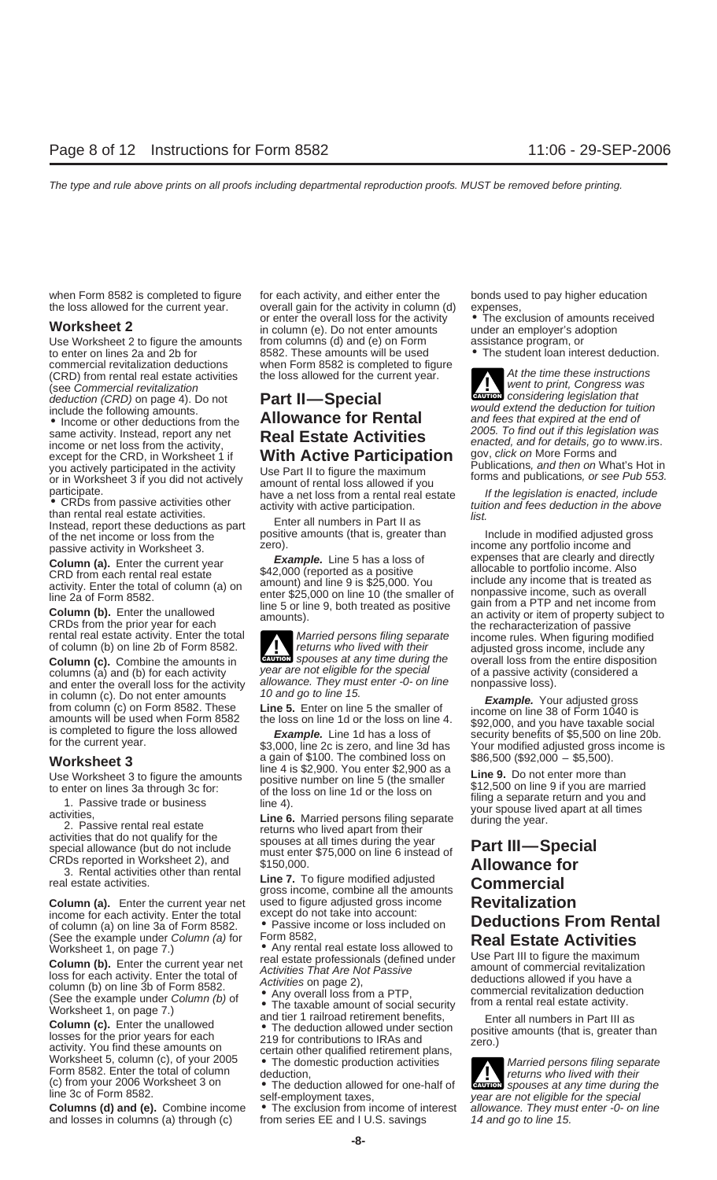commercial revitalization deductions when Form 8582 is completed to figure (CRD) from rental real estate activities the loss allowed for the current year. (CRD) from rental real estate activities the loss allowed for the current year.<br>
(see Commercial revitalization deduction (CRD) on page 4). Do not **Part II—Special** went to print, Congress was considering legislation that

• CRDs from passive activities other activity with active participation. than rental real estate activities.<br>
Instead, report these deductions as part Enter all numbers in Part II as Instead, report these deductions as par

**Column (c).** Combine the amounts in **COLUCT** spouses at any time during the overall loss from the entire disposition columns (a) and (b) for each activity year are not eligible for the special of a passive activity (consi and enter the overall loss for the activity<br>in column (c). Do not enter amounts<br>from column (c) on Form 8582. These<br>amounts will be used when Form 8582<br>is completed to figure the loss allowed<br>for the current year.<br>for the

example for each activity. Enter the total except do not take into account.<br>of column (a) on line 3a of Form 8582. • Passive income or loss included on **Deductions From Rental** on **Column** (a) for Form 8582.

**Column (b).** Enter the current year net<br> **Column (b).** Enter the current year net<br>
loss for each activity. Enter the total of<br>
column (b) on line 3b of Form 8582.<br>
(See the example under Column (b) of<br>
Worksheet 1, on pa

Column (c). Enter the unallowed<br>
losses for the prior years for each<br>
activity. You find these amounts on<br>
Worksheet 5, column (c), of your 2005<br>
Form 8582. Enter the total of column<br>
Form 8582. Enter the total of column<br> Form 8582. Enter the total of column deduction,<br>
(c) from your 2006 Worksheet 3 on • The deduction allowed for one-half of **CAUTION** spouses at any time during the

and losses in columns (a) through (c)

when Form 8582 is completed to figure for each activity, and either enter the bonds used to pay higher education the loss allowed for the current year. overall gain for the activity in column (d) expenses,<br>
or enter the overall loss for the activity • The exclusion of amounts received or enter the overall loss for the activity  $\bullet$  The exclusion of amounts received in column (e). Do not enter amounts under an employer's adoption Use Worksheet 2 to figure the amounts from columns (d) and (e) on Form assistance program, or to enter on lines 2a and 2b for 3582. These amounts will be used • The student loan inte to enter on lines 2a and 2b for 8582. These amounts will be used • The student loan interest deduction.

positive amounts (that is, greater than Include in modified adjusted gross from than Include in modified adjusted g

**Column (c).** Combine the amounts in **CAUTION** spouses at any time during the overall loss from the entire disposition **!**

**Worksheet 3**<br> **Worksheet 3** a gain of \$100. The combined loss on \$86,500 (\$92,000 – \$5,500).<br>
line 4 is \$2,900. You enter \$2,900 as a<br>
Use Worksheet 3 to figure the amounts<br>
Line 9. Do not enter more than

**Example the SECUT COMMERT COMMERT COMMERT COMMERT CONDUCT CAN CONTROLLER CHANGER CONTROLLER CHANGER CHANGER CHANGER CHANGER CHANGER CHANGER CHANGER CHANGER CHANGER CHANGER CHANGER CHANGER CHANGER CHANGER CHANGER CHANGER C** 

**Column (a).** Enter the current year net used to figure adjusted gross income **Revitalization**<br>income for each activity. Enter the total except do not take into account:

(See the example under Column (a) for Form 8582,<br>Worksheet 1, on page 7.) • Any rental real estate loss allowed to<br>Column (b). Enter the current year net real estate professionals (defined under Use Part III to figure the

**The exclusion from income of interest** allowance. They must from series EE and I U.S. savings and allowance of the 15.

**CAUTION**<br> **CAUTION**<br> **CAUTION**<br> **CONSidering** legislation that deduction (CRD) on page 4). Do not<br>
include the following amounts.<br>
• Income or other deductions from the<br>
• Income or other deductions from the<br>
same activity. Instead, report any net<br>
except for the CRD, in Worksheet 1 i

passive activity in Worksheet 3. **Example.** Line 5 has a loss of **the summer any portfolio income and**<br>Column (a) Enter the current year **Example.** Line 5 has a loss of expenses that are clearly and directly **Column (a).** Enter the current year **Example.** Line 5 has a loss of CRD from each rental real estate  $$42,000$  (reported as a positive allocable to portfolio income. Also antivity. Enter the total of column (a) on annount

(c) from your 2006 worksheet 3 on (c) the deduction allowed for one-half of (c) from youses at any time during the<br>line 3c of Form 8582.<br>**Columns (d) and (e).** Combine income • The exclusion from income of interest allowan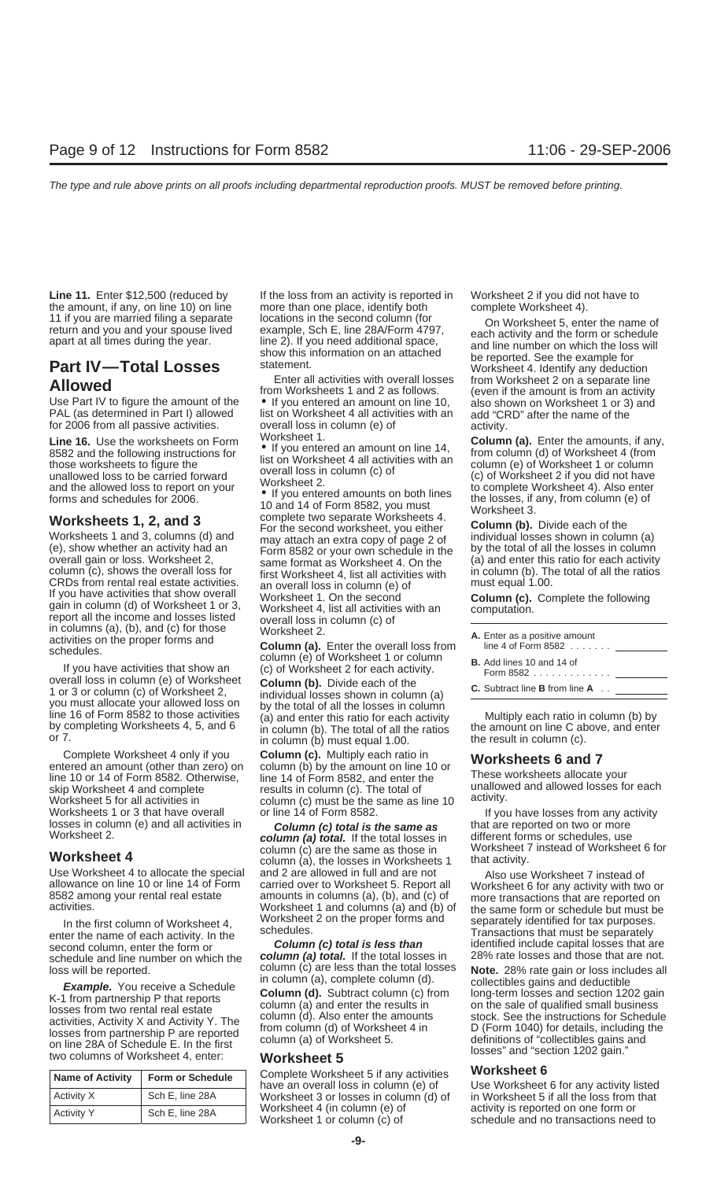Worksheets 1 and 3, columns (d) and may attach an extra copy of page 2 of individual loss shown whether an activity had an  $\frac{1}{2}$  Form 8582 or your own schedule in the

If you have activities that show overall<br>
report all the income and losses listed<br>
in column (d) of Worksheet 1. On the second<br>
in column (d) of Worksheet 1 or 3, worksheet 1 on the second<br>
in column (c) of<br>
in columns (a

Worksheets 1 or 3 that have overall or line 14 of Form 8582.<br>If you have losses from any activity losses in column (c) **column (c) total is the same as** that are reported on two or more<br>Worksheet 2. **Column (a) total** if t

| <b>Name of Activity</b> | <b>Form or Schedule</b> |  |
|-------------------------|-------------------------|--|
| Activity X              | Sch E, line 28A         |  |
| <b>Activity Y</b>       | Sch E, line 28A         |  |

Line 11. Enter \$12,500 (reduced by If the loss from an activity is reported in Worksheet 2 if you did not have to the amount, if any, on line 10) on line more than one place, identify both complete Worksheet 4).<br>11 if you are married filing a separate locations in the second column (for  $\alpha$  Morksheet 5, ont

Enter all activities with overall losses from Worksheet 2 on a separate line<br>Use Part IV to figure the amount of the offer you entered an amount on line 10, also shown on Worksheet 1 or 3) and<br>PAL (as determined in Part I) FAL (as determined in Part I) allowed list on Worksheet 4 all activities with an add "CF<br>for 2006 from all passive activities. overall loss in column (e) of activity.<br>I ine 15 Use the worksheet on Ferm Worksheet 1.

**Worksheets 1, 2, and 3** complete two separate Worksheets 4. For the second worksheet, you either **Column (b).** Divide each of the may attach an extra copy of page 2 of individual losses shown in column (a) (e), show whether an activity had an Form 8582 or your own schedule in the by the total of all the losses in column overall gain or loss. Worksheet 2, same format as Worksheet 4. On the (a) and enter this ratio for each ac overall gain or loss. Worksheet 2,<br>
column (c), shows the overall loss for<br>
column (c), shows the overall loss for<br>
first Worksheet 4, list all activities with<br>
an overall loss in column (e) of must equal 1.00.

by completing Worksheets 4, 5, and 6 in column (b). The total of all the ratios the amount on line C above, and enter or 7.

Complete Worksheet 4 only if you **Column (c)**. Multiply each ratio in entered an amount (other than zero) on column (b) by the amount on line 10 or **Worksheets 6 and 7**<br>line 10 or 14 of Form 8582. Otherwise, line 14 of For skip Worksheet 4 and complete entil activities in column (c). The total of the same as line 10 activity.<br>Worksheet 5 for all activities in activity. column (c) must be the same as line 10 activity.<br>Worksheets 1 or 3 that h

**column (a) total.** If the total losses in different forms or schedules, use<br>column (c) are the same as those in Worksheet 7 instead of Worksheet 6 for column (c) are the same as those in Worksheet  $\frac{1}{2}$  column (a) the losses in Worksheets 1 that activity. **Worksheet 4** column (a), the losses in Worksheets 1 Use Worksheet 4 to allocate the special and 2 are allowed in full and are not Also use Worksheet 7 instead of allowance on line 10 or line 14 of Form carried over to Worksheet 5. Report all Worksheet 6 for any activity wit allowance on line 10 or line 14 of Form carried over to Worksheet 5. Report all Worksheet 6 for any activity with two or<br>8582 among your rental real estate amounts in columns (a), (b), and (c) of more transactions that are

Complete Worksheet 5 if any activities **Worksheet 6**<br>
have an overall loss in column (e) of Use Worksheet 6 for any activity listed Worksheet 3 or losses in column (d) of in Worksheet 5 if all the loss from that Worksheet 4 (in column (e) of interactivity is reported on one form or Worksheet 4 (in column (e) of activity is reported on one form or <br>Worksheet 1 or column (c) of schedule and no transactions need to

11 if you are married filing a separate locations in the second column (for<br>
return and you and your spouse lived<br>
apart at all times during the year.<br> **Part IV—Total Losses** show this information on an attached<br>
and line

**Line 16.** Use the worksheets on Form worksheet 1.<br>
8582 and the following instructions for list on Worksheet 4 all activities with an<br>
those worksheets to figure the unallowed loss to be carried forward<br>
and the allowed l

| A. Enter as a positive amount<br>line 4 of Form 8582 $\ldots$ |
|---------------------------------------------------------------|
| <b>B.</b> Add lines 10 and 14 of<br>Form 8582 <u>_______</u>  |

In the first column of Worksheet 4,<br>
enter the name of each activity. In the<br>
schedules.<br>
Schedules.<br>
Schedules.<br>
Schedules and column, enter the form or<br>
Schedule and line number on which the<br>
Schedule and line number on

Use the proof of the total of the total losses will be reported.<br> **Example.** You receive a Schedule<br> **Example.** You receive a Schedule<br> **Column (d).** Subtract column (c) from long-term losses and section 1202 gain<br>
column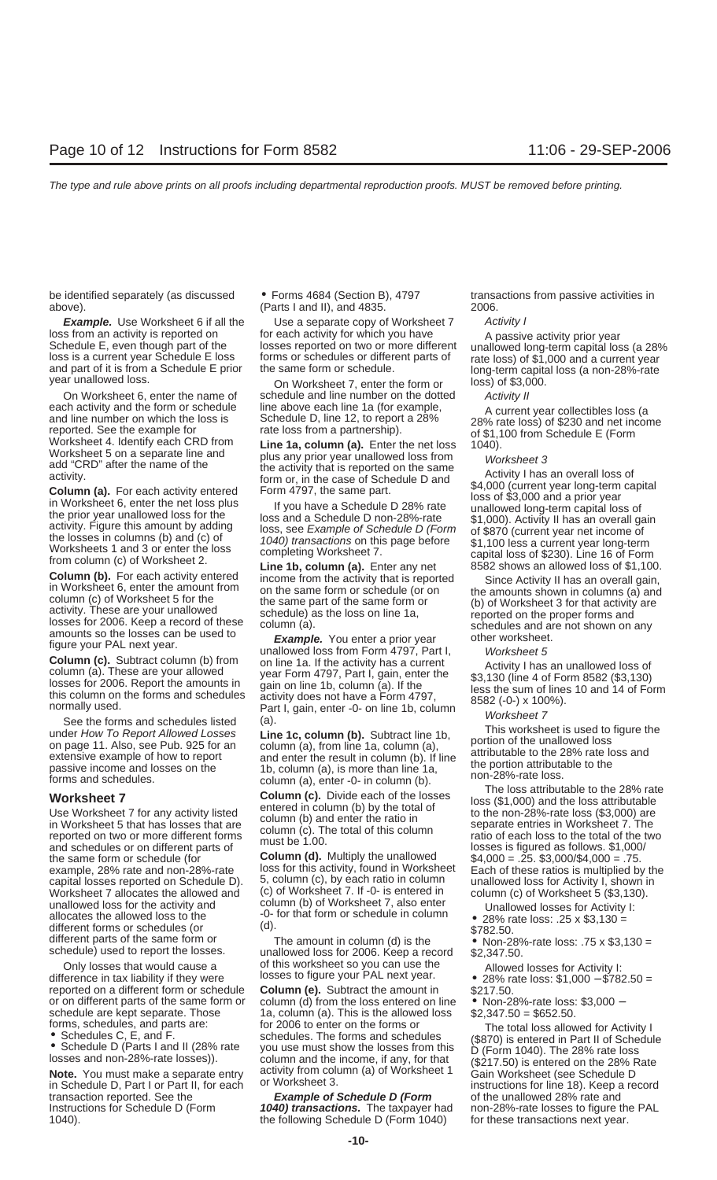be identified separately (as discussed • Forms 4684 (Section B), 4797 transactions from passive activities in above). (Parts I and II), and 4835. 2006.

and schedules or on different parts of this be 1.00.<br>the same form or schedule (for **Column (d).** Multiply the unallowed  $$4,000 = .25. $3,000/$4,000 = .75.$ unallowed loss for the activity and<br>allocates the allowed loss to the different forms or schedules (or<br>different parts of the same form or<br>schedule) used to report the losses. The amount in column (d) is the schedule) used

Only losses that would cause a of this worksheet so you can use the difference in tax liability if they were losses to figure your PAL next year. • 28% rate loss: \$1,000 − \$782.50 = reported on a different form or schedul reported on a different form or schedule **Column (e).** Subtract the amount in or on different parts of the same form or column (d) from the loss entered on l or on different parts of the same form or column (d) from the loss entered on line • Non-28%-rate loss: \$3,000 – schedule are kept separate. Those 1a, column (a). This is the allowed loss \$2,347.50 = \$652.50.<br>
forms, sche

in Schedule D, Part I or Part II, for each in the UNU of Schedule D (Form instructions for line 18). Keep a record transaction reported. See the **Example of Schedule D (Form** of the unallowed 28% rate and transaction reported. See the **Example of Schedule D (Form** Instructions for Schedule D (Form **1040) transactions.** The taxpayer 1040). the following Schedule D (Form 1040) for these transactions next year.

**Example.** Use Worksheet 6 if all the Use a separate copy of Worksheet 7 Activity l<br>s from an activity is reported on for each activity for which you have A passive

On Worksheet 6, enter the name of schedule and line number on the dotted Activity II each activity and the form or schedule line above each line 1a (for example, A current

**Column (b).** For each activity entered income from the activity at is fepoted in column (c) of Worksheet 5 or the same burm on the same form or schedule of the same form of the mounts shown in column (a) and activity. Th

example, 28% rate and non-28%-rate loss for this activity, found in Worksheet Each of these ratios is multiplied by the<br>capital losses reported on Schedule D) 5, column (c), by each ratio in column unallowed loss for Activ capital losses reported on Schedule D). 5, column (c), by each ratio in column unallowed loss for Activity I, shown in Worksheet 7 allocates the allowed and (c) of Worksheet 7. If -0- is entered in column (c) of Worksheet 5 (\$3,130).<br>unallowed loss for the activity and column (b) of Worksheet 7, also enter

forms, schedules, and parts are: for 2006 to enter on the forms or<br>
■ Schedules C, E, and F.<br>
■ Schedule D (Parts I and II (28% rate you use must show the losses from this (\$870) is entered in Part II of Schedule<br>
■ Sched Iosses and non-28%-rate losses).<br> **Note.** You must make a separate entry activity from column (a) of Worksheet 1 Gain Worksheet (see Schedule D<br>
in Schedule D, Part Lor Part II, for each a providence 3. Intervalsions for l

**1040) transactions.** The taxpayer had non-28%-rate losses to figure the PAL

loss from an activity is reported on for each activity for which you have and passive activity prior year<br>Schedule E, even though part of the losses reported on two or more different unallowed long-term capital loss (a 28%

each activity and the form or schedule D, line above each line 1a (for example,<br>
and line number on which the loss is<br>
areported. See the example for<br>
worksheet 4. Identify each CRD from<br>
worksheet 4. Identify each CRD fro

- 
- 
-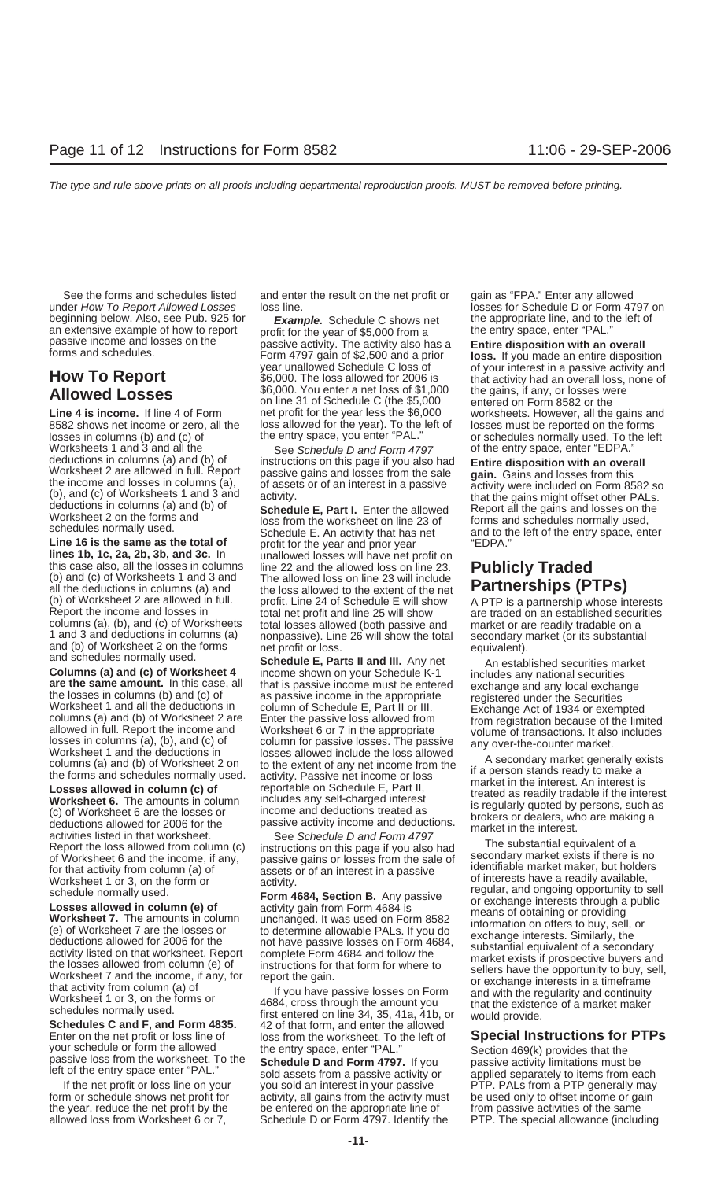under How To Report Allowed Losses loss line. losses star Schedule D or Form 4797 on beginning below. Also, see Pub. 925 for **Example.** Schedule C shows net the appropriate line, and to the left of an extensive example of how to report profit for the year of \$5.000 from a

losses in columns (b) and (c) of the entry space, you enter "PAL." or schedules normally used. To the left Worksheets 1 and 3 and all the See Schedule D and Form 4797 of the entry space, enter "EDPA."<br>
deductions in columns (a) and (b) of instructions on this page if you also had **Fortica disposition with an over** 

**Line 16 is the same as the total of** profit for the year and prior year "EDPA." lines 1b, 1c, 2a, 2b, 3b, and 3c. In unallowed losses will have net profit on lines 1b, 1c, 2a, 2b, 3b, and 3c. In unallowed losses will have net profit on<br>this case also, all the losses in columns line 22 and the allowed loss on line 23. Publicly Traded<br>(b) and (c) of Worksheets 1 and 3 and The al all the deductions in columns (a) and the loss allowed to the extent of the net **Partnerships (PTPs)**<br>(b) of Worksheet 2 are allowed in full. profit. Line 24 of Schedule E will show A PTP is a partnership whose in (b) of Worksheet 2 are allowed in full. correct profit. Line 24 of Schedule E will show and PTP is a partnership whose interests (b) of Worksheet strated on an established securities (b) and (c) of Worksheets and losses al columns (a), (b), and (c) of Worksheets total losses allowed (both passive and market or are readily tradable on a<br>
1 and 3 and deductions in columns (a) nonpassive). Line 26 will show the total secondary market (or its su

Enter on the net profit or loss line of<br>your schedule or form the allowed<br>passive loss from the worksheet. To the entry space, enter "PAL."<br>left of the entry space enter "PAL."<br>left of the entry space enter "PAL."<br>sold ass

See the forms and schedules listed and enter the result on the net profit or gain as "FPA." Enter any allowed

an extensive example of how to report<br>passive income and losses on the profit for the year of \$5,000 from a<br>forms and schedules.<br>**How To Report** the seat of \$6,000 from a seat of \$2,500 and a prior<br>form a seat of \$6,000. T **Allowed Losses** \$6,000. You enter a net loss of \$1,000 the gains, if any, or losses were<br>
on line 31 of Schedule C (the \$5,000 entered on Form 8582 or the<br>
Line 4 is income. If line 4 of Form enter profit for the year les loss allowed for the year). To the left of losses must be reported on the forms the entry space, you enter "PAL." or schedules normally used. To the le

**Columns (a) and (c) of Worksheet 4** income shown on your Schedule K-1 includes any national securities<br> **are the same amount.** In this case, all that is passive income must be entered exchange and any local exchange<br>
the losses in columns (a), (b), and (c) of<br>
Worksheet 1 and the deductions in<br>
to the extent of any net income from the<br>
the forms and schedules normally used.<br> **Losses allowed in column (c) of**<br> **Losses allowed in column (c)** 

If the net profit or loss line on your you sold an interest in your passive PTP. PALs from a PTP generally may<br>m or schedule shows net profit for activity, all gains from the activity must be used only to offset income or form or schedule shows net profit for activity, all gains from the activity must the year, reduce the net profit by the be entered on the appropriate line of from passive activities of the same

**Line 4 is income.** If line 4 of Form a net profit for the year less the \$6,000 worksheets. However, all the gains and net profit for the year less the \$6,000 worksheets. However, all the gains and all the vear less allowe

deductions in columns (a) and (b) of instructions on this page if you also had **Entire disposition with an overall**<br>
Worksheet 2 are allowed in full. Report passive gains and losses from the sale<br>
the income and losses in

Report the loss allowed from column (c) instructions on this page if you also had<br>
from substantial equivalent of a<br>
for Worksheet 6 and the income, if any, passive gains or losses from the sale of<br>
for that activity from

allowed loss from Worksheet 6 or 7, Schedule D or Form 4797. Identify the PTP. The special allowance (including